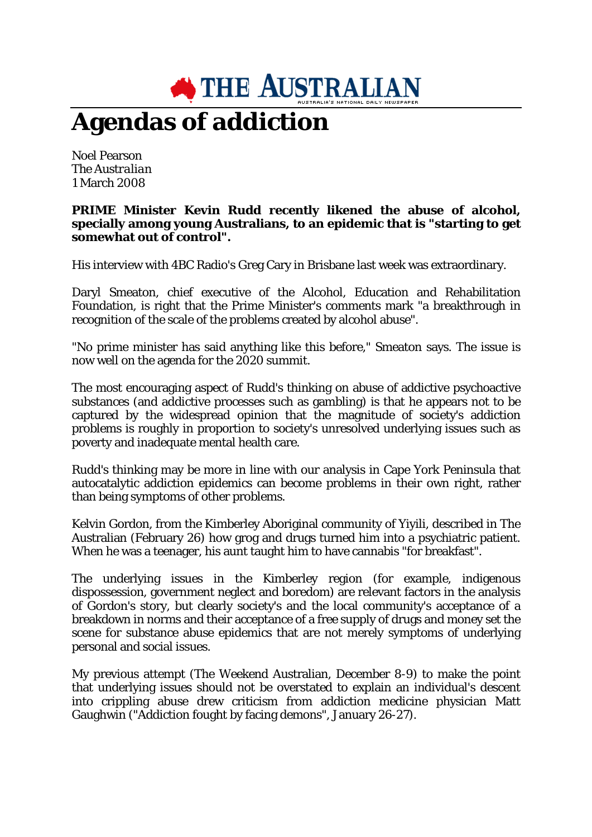

## **Agendas of addiction**

Noel Pearson *The Australian* 1 March 2008

## **PRIME Minister Kevin Rudd recently likened the abuse of alcohol, specially among young Australians, to an epidemic that is "starting to get somewhat out of control".**

His interview with 4BC Radio's Greg Cary in Brisbane last week was extraordinary.

Daryl Smeaton, chief executive of the Alcohol, Education and Rehabilitation Foundation, is right that the Prime Minister's comments mark "a breakthrough in recognition of the scale of the problems created by alcohol abuse".

"No prime minister has said anything like this before," Smeaton says. The issue is now well on the agenda for the 2020 summit.

The most encouraging aspect of Rudd's thinking on abuse of addictive psychoactive substances (and addictive processes such as gambling) is that he appears not to be captured by the widespread opinion that the magnitude of society's addiction problems is roughly in proportion to society's unresolved underlying issues such as poverty and inadequate mental health care.

Rudd's thinking may be more in line with our analysis in Cape York Peninsula that autocatalytic addiction epidemics can become problems in their own right, rather than being symptoms of other problems.

Kelvin Gordon, from the Kimberley Aboriginal community of Yiyili, described in The Australian (February 26) how grog and drugs turned him into a psychiatric patient. When he was a teenager, his aunt taught him to have cannabis "for breakfast".

The underlying issues in the Kimberley region (for example, indigenous dispossession, government neglect and boredom) are relevant factors in the analysis of Gordon's story, but clearly society's and the local community's acceptance of a breakdown in norms and their acceptance of a free supply of drugs and money set the scene for substance abuse epidemics that are not merely symptoms of underlying personal and social issues.

My previous attempt (The Weekend Australian, December 8-9) to make the point that underlying issues should not be overstated to explain an individual's descent into crippling abuse drew criticism from addiction medicine physician Matt Gaughwin ("Addiction fought by facing demons", January 26-27).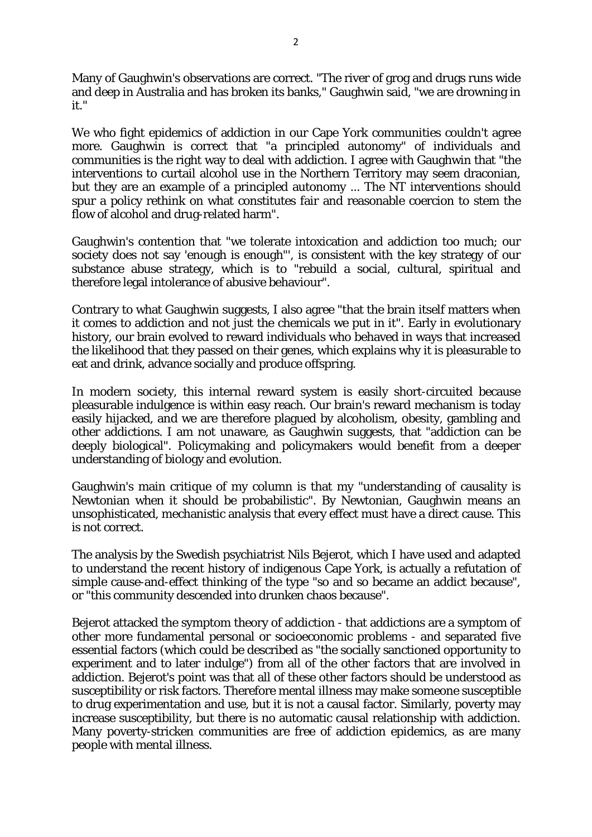Many of Gaughwin's observations are correct. "The river of grog and drugs runs wide and deep in Australia and has broken its banks," Gaughwin said, "we are drowning in it."

We who fight epidemics of addiction in our Cape York communities couldn't agree more. Gaughwin is correct that "a principled autonomy" of individuals and communities is the right way to deal with addiction. I agree with Gaughwin that "the interventions to curtail alcohol use in the Northern Territory may seem draconian, but they are an example of a principled autonomy ... The NT interventions should spur a policy rethink on what constitutes fair and reasonable coercion to stem the flow of alcohol and drug-related harm".

Gaughwin's contention that "we tolerate intoxication and addiction too much; our society does not say 'enough is enough"', is consistent with the key strategy of our substance abuse strategy, which is to "rebuild a social, cultural, spiritual and therefore legal intolerance of abusive behaviour".

Contrary to what Gaughwin suggests, I also agree "that the brain itself matters when it comes to addiction and not just the chemicals we put in it". Early in evolutionary history, our brain evolved to reward individuals who behaved in ways that increased the likelihood that they passed on their genes, which explains why it is pleasurable to eat and drink, advance socially and produce offspring.

In modern society, this internal reward system is easily short-circuited because pleasurable indulgence is within easy reach. Our brain's reward mechanism is today easily hijacked, and we are therefore plagued by alcoholism, obesity, gambling and other addictions. I am not unaware, as Gaughwin suggests, that "addiction can be deeply biological". Policymaking and policymakers would benefit from a deeper understanding of biology and evolution.

Gaughwin's main critique of my column is that my "understanding of causality is Newtonian when it should be probabilistic". By Newtonian, Gaughwin means an unsophisticated, mechanistic analysis that every effect must have a direct cause. This is not correct.

The analysis by the Swedish psychiatrist Nils Bejerot, which I have used and adapted to understand the recent history of indigenous Cape York, is actually a refutation of simple cause-and-effect thinking of the type "so and so became an addict because", or "this community descended into drunken chaos because".

Bejerot attacked the symptom theory of addiction - that addictions are a symptom of other more fundamental personal or socioeconomic problems - and separated five essential factors (which could be described as "the socially sanctioned opportunity to experiment and to later indulge") from all of the other factors that are involved in addiction. Bejerot's point was that all of these other factors should be understood as susceptibility or risk factors. Therefore mental illness may make someone susceptible to drug experimentation and use, but it is not a causal factor. Similarly, poverty may increase susceptibility, but there is no automatic causal relationship with addiction. Many poverty-stricken communities are free of addiction epidemics, as are many people with mental illness.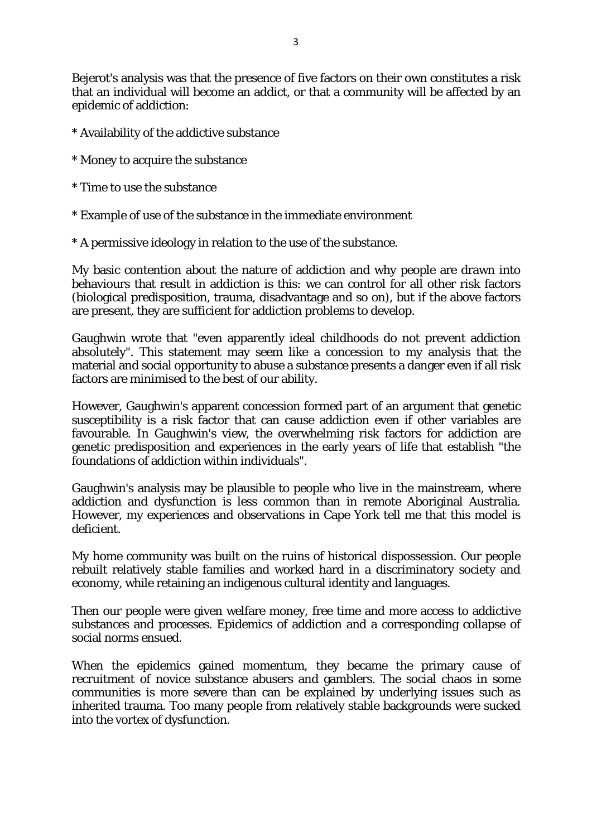Bejerot's analysis was that the presence of five factors on their own constitutes a risk that an individual will become an addict, or that a community will be affected by an epidemic of addiction:

- \* Availability of the addictive substance
- \* Money to acquire the substance
- \* Time to use the substance
- \* Example of use of the substance in the immediate environment
- \* A permissive ideology in relation to the use of the substance.

My basic contention about the nature of addiction and why people are drawn into behaviours that result in addiction is this: we can control for all other risk factors (biological predisposition, trauma, disadvantage and so on), but if the above factors are present, they are sufficient for addiction problems to develop.

Gaughwin wrote that "even apparently ideal childhoods do not prevent addiction absolutely". This statement may seem like a concession to my analysis that the material and social opportunity to abuse a substance presents a danger even if all risk factors are minimised to the best of our ability.

However, Gaughwin's apparent concession formed part of an argument that genetic susceptibility is a risk factor that can cause addiction even if other variables are favourable. In Gaughwin's view, the overwhelming risk factors for addiction are genetic predisposition and experiences in the early years of life that establish "the foundations of addiction within individuals".

Gaughwin's analysis may be plausible to people who live in the mainstream, where addiction and dysfunction is less common than in remote Aboriginal Australia. However, my experiences and observations in Cape York tell me that this model is deficient.

My home community was built on the ruins of historical dispossession. Our people rebuilt relatively stable families and worked hard in a discriminatory society and economy, while retaining an indigenous cultural identity and languages.

Then our people were given welfare money, free time and more access to addictive substances and processes. Epidemics of addiction and a corresponding collapse of social norms ensued.

When the epidemics gained momentum, they became the primary cause of recruitment of novice substance abusers and gamblers. The social chaos in some communities is more severe than can be explained by underlying issues such as inherited trauma. Too many people from relatively stable backgrounds were sucked into the vortex of dysfunction.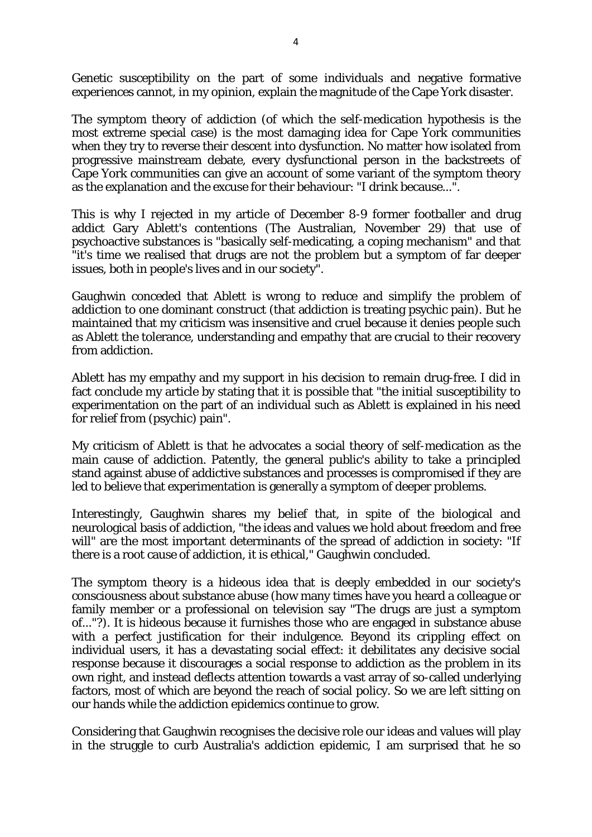Genetic susceptibility on the part of some individuals and negative formative experiences cannot, in my opinion, explain the magnitude of the Cape York disaster.

The symptom theory of addiction (of which the self-medication hypothesis is the most extreme special case) is the most damaging idea for Cape York communities when they try to reverse their descent into dysfunction. No matter how isolated from progressive mainstream debate, every dysfunctional person in the backstreets of Cape York communities can give an account of some variant of the symptom theory as the explanation and the excuse for their behaviour: "I drink because...".

This is why I rejected in my article of December 8-9 former footballer and drug addict Gary Ablett's contentions (The Australian, November 29) that use of psychoactive substances is "basically self-medicating, a coping mechanism" and that "it's time we realised that drugs are not the problem but a symptom of far deeper issues, both in people's lives and in our society".

Gaughwin conceded that Ablett is wrong to reduce and simplify the problem of addiction to one dominant construct (that addiction is treating psychic pain). But he maintained that my criticism was insensitive and cruel because it denies people such as Ablett the tolerance, understanding and empathy that are crucial to their recovery from addiction.

Ablett has my empathy and my support in his decision to remain drug-free. I did in fact conclude my article by stating that it is possible that "the initial susceptibility to experimentation on the part of an individual such as Ablett is explained in his need for relief from (psychic) pain".

My criticism of Ablett is that he advocates a social theory of self-medication as the main cause of addiction. Patently, the general public's ability to take a principled stand against abuse of addictive substances and processes is compromised if they are led to believe that experimentation is generally a symptom of deeper problems.

Interestingly, Gaughwin shares my belief that, in spite of the biological and neurological basis of addiction, "the ideas and values we hold about freedom and free will" are the most important determinants of the spread of addiction in society: "If there is a root cause of addiction, it is ethical," Gaughwin concluded.

The symptom theory is a hideous idea that is deeply embedded in our society's consciousness about substance abuse (how many times have you heard a colleague or family member or a professional on television say "The drugs are just a symptom of..."?). It is hideous because it furnishes those who are engaged in substance abuse with a perfect justification for their indulgence. Beyond its crippling effect on individual users, it has a devastating social effect: it debilitates any decisive social response because it discourages a social response to addiction as the problem in its own right, and instead deflects attention towards a vast array of so-called underlying factors, most of which are beyond the reach of social policy. So we are left sitting on our hands while the addiction epidemics continue to grow.

Considering that Gaughwin recognises the decisive role our ideas and values will play in the struggle to curb Australia's addiction epidemic, I am surprised that he so